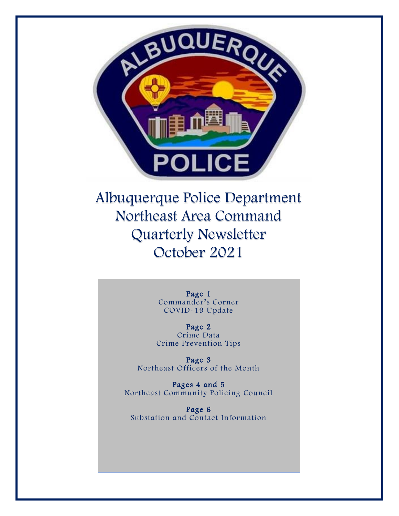

Albuquerque Police Department Northeast Area Command Quarterly Newsletter October 2021

> Page 1 Commander's Corner COVID-19 Update

Page 2 Crime Data Crime Prevention Tips

Page 3 Northeast Officers of the Month

Pages 4 and 5 Northeast Community Policing Council

Page 6 Substation and Contact Information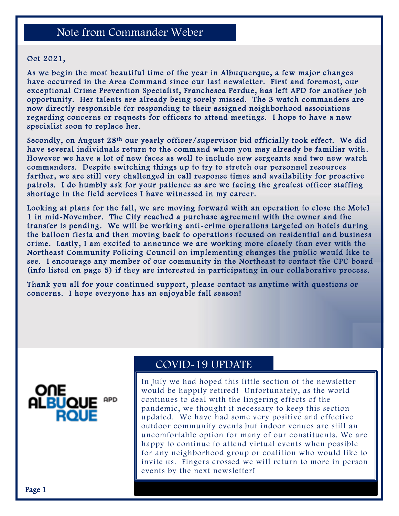# Note from Commander Weber

#### Oct 2021,

As we begin the most beautiful time of the year in Albuquerque, a few major changes have occurred in the Area Command since our last newsletter. First and foremost, our exceptional Crime Prevention Specialist, Franchesca Perdue, has left APD for another job opportunity. Her talents are already being sorely missed. The 3 watch commanders are now directly responsible for responding to their assigned neighborhood associations regarding concerns or requests for officers to attend meetings. I hope to have a new specialist soon to replace her.

Secondly, on August  $28<sup>th</sup>$  our yearly officer/supervisor bid officially took effect. We did have several individuals return to the command whom you may already be familiar with . However we have a lot of new faces as well to include new sergeants and two new watch commanders. Despite switching things up to try to stretch our personnel resources farther, we are still very challenged in call response times and availability for proactive patrols. I do humbly ask for your patience as are we facing the greatest officer staffing shortage in the field services I have witnessed in my career.

Looking at plans for the fall, we are moving forward with an operation to close the Motel 1 in mid-November. The City reached a purchase agreement with the owner and the transfer is pending. We will be working anti-crime operations targeted on hotels during the balloon fiesta and then moving back to operations focused on residential and business crime. Lastly, I am excited to announce we are working more closely than ever with the Northeast Community Policing Council on implementing changes the public would like to see. I encourage any member of our community in the Northeast to contact the CPC board (info listed on page 5) if they are interested in participating in our collaborative process.

Thank you all for your continued support, please contact us anytime with questions or concerns. I hope everyone has an enjoyable fall season!



### COVID-19 UPDATE

In July we had hoped this little section of the newsletter would be happily retired! Unfortunately, as the world continues to deal with the lingering effects of the pandemic, we thought it necessary to keep this section updated. We have had some very positive and effective outdoor community events but indoor venues are still an uncomfortable option for many of our constituents. We are happy to continue to attend virtual events when possible for any neighborhood group or coalition who would like to invite us. Fingers crossed we will return to more in person events by the next newsletter!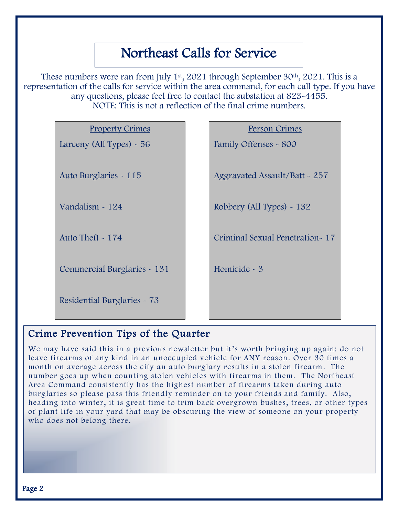# Northeast Calls for Service

These numbers were ran from July  $1<sup>st</sup>$ , 2021 through September 30<sup>th</sup>, 2021. This is a representation of the calls for service within the area command, for each call type. If you have any questions, please feel free to contact the substation at 823-4455. NOTE: This is not a reflection of the final crime numbers.

| <b>Property Crimes</b>      |  |
|-----------------------------|--|
| Larceny (All Types) $~56$   |  |
|                             |  |
| Auto Burglaries - 115       |  |
|                             |  |
| Vandalism ~ 124             |  |
|                             |  |
| Auto Theft $\sim 174$       |  |
|                             |  |
| Commercial Burglaries - 131 |  |
|                             |  |

Residential Burglaries - 73

### Person Crimes

Family Offenses - 800

Aggravated Assault/Batt - 257

Robbery (All Types) - 132

Criminal Sexual Penetration- 17

Homicide - 3

# Crime Prevention Tips of the Quarter

We may have said this in a previous newsletter but it's worth bringing up again: do not leave firearms of any kind in an unoccupied vehicle for ANY reason. Over 30 times a month on average across the city an auto burglary results in a stolen firearm . The number goes up when counting stolen vehicles with firearms in them. The Northeast Area Command consistently has the highest number of firearms taken during auto burglaries so please pass this friendly reminder on to your friends and family. Also, heading into winter, it is great time to trim back overgrown bushes, trees, or other types of plant life in your yard that may be obscuring the view of someone on your property who does not belong there.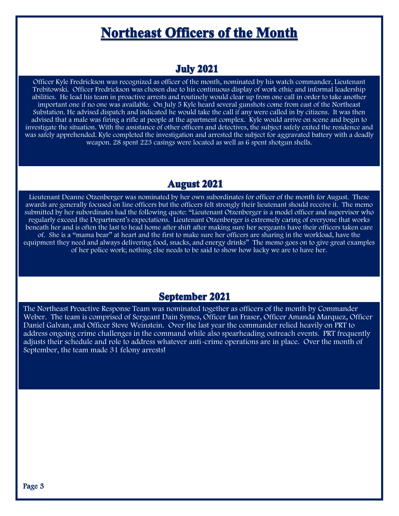# **Northeast Officers of the Month**

## **July 2021**

Officer Kyle Fredrickson was recognized as officer of the month, nominated by his watch commander, Lieutenant Trebitowski. Officer Fredrickson was chosen due to his continuous display of work ethic and informal leadership abilities. He lead his team in proactive arrests and routinely would clear up from one call in order to take another important one if no one was available. On July 5 Kyle heard several gunshots come from east of the Northeast Substation. He advised dispatch and indicated he would take the call if any were called in by citizens. It was then advised that a male was firing a rifle at people at the apartment complex. Kyle would arrive on scene and begin to investigate the situation. With the assistance of other officers and detectives, the subject safely exited the residence and was safely apprehended. Kyle completed the investigation and arrested the subject for aggravated battery with a deadly weapon. 28 spent 223 casings were located as well as 6 spent shotgun shells.

# **August 2021**

Lieutenant Deanne Otzenberger was nominated by her own subordinates for officer of the month for August. These awards are generally focused on line officers but the officers felt strongly their lieutenant should receive it. The memo submitted by her subordinates had the following quote: "Lieutenant Otzenberger is a model officer and supervisor who regularly exceed the Department's expectations. Lieutenant Otzenberger is extremely caring of everyone that works beneath her and is often the last to head home after shift after making sure her sergeants have their officers taken care of. She is a "mama bear" at heart and the first to make sure her officers are sharing in the workload, have the equipment they need and always delivering food, snacks, and energy drinks" The memo goes on to give great examples of her police work; nothing else needs to be said to show how lucky we are to have her.

## **September 2021**

The Northeast Proactive Response Team was nominated together as officers of the month by Commander Weber. The team is comprised of Sergeant Dain Symes, Officer Ian Fraser, Officer Amanda Marquez, Officer Daniel Galvan, and Officer Steve Weinstein. Over the last year the commander relied heavily on PRT to address ongoing crime challenges in the command while also spearheading outreach events. PRT frequently adjusts their schedule and role to address whatever anti-crime operations are in place. Over the month of September, the team made 31 felony arrests!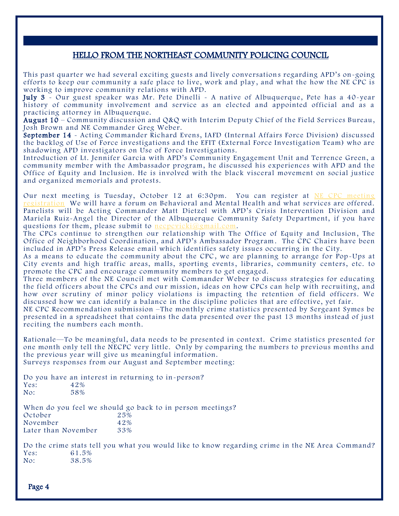#### HELLO FROM THE NORTHEAST COMMUNITY POLICING COUNCIL

This past quarter we had several exciting guests and lively conversation s regarding APD's on-going efforts to keep our community a safe place to live, work and play , and what the how the NE CPC is working to improve community relations with APD.

July 3 - Our guest speaker was Mr. Pete Dinelli - A native of Albuquerque, Pete has a 40-year history of community involvement and service as an elected and appointed official and as a practicing attorney in Albuquerque.

August 10 – Community discussion and Q&Q with Interim Deputy Chief of the Field Services Bureau, Josh Brown and NE Commander Greg Weber.

September 14 - Acting Commander Richard Evens, IAFD (Internal Affairs Force Division) discussed the backlog of Use of Force investigations and the EFIT (External Force Investigation Team) who are shadowing APD investigators on Use of Force Investigations.

Introduction of Lt. Jennifer Garcia with APD's Community Engagement Unit and Terrence Green, a community member with the Ambassador program, he discussed his experiences with APD and the Office of Equity and Inclusion. He is involved with the black visceral movement on social justice and organized memorials and protests.

Our next meeting is Tuesday, October 12 at 6:30pm. You can register at [NE CPC meeting](https://www.cabq.gov/cpoa/documents/4-13-2021-necpc-general-meeting-agenda.pdf)  [registration](https://www.cabq.gov/cpoa/documents/4-13-2021-necpc-general-meeting-agenda.pdf) We will have a forum on Behavioral and Mental Health and what services are offered. Panelists will be Acting Commander Matt Dietzel with APD's Crisis Intervention Division and Mariela Ruiz-Angel the Director of the Albuquerque Community Safety Department, if you have questions for them, please submit to necpcyicki@gmail.com.

The CPCs continue to strengthen our relationship with The Office of Equity and Inclusion, The Office of Neighborhood Coordination, and APD's Ambassador Program . The CPC Chairs have been included in APD's Press Release email which identifies safety issues occurring in the City.

As a means to educate the community about the CPC, we are planning to arrange for Pop-Ups at City events and high traffic areas, malls, sporting events, libraries, community centers, etc. to promote the CPC and encourage community members to get engaged.

Three members of the NE Council met with Commander Weber to discuss strategies for educating the field officers about the CPCs and our mission, ideas on how CPCs can help with recruiting, and how over scrutiny of minor policy violations is impacting the retention of field officers. We discussed how we can identify a balance in the discipline policies that are effective, yet fair.

NE CPC Recommendation submission –The monthly crime statistics presented by Sergeant Symes be presented in a spreadsheet that contains the data presented over the past 13 months instead of just reciting the numbers each month.

Rationale—To be meaningful, data needs to be presented in context. Crime statistics presented for one month only tell the NECPC very little. Only by comparing the numbers to previous months and the previous year will give us meaningful information.

Surveys responses from our August and September meeting:

Do you have an interest in returning to in-person?<br>Yes:  $42\%$ Yes: 42% No: 58%

When do you feel we should go back to in person meetings?<br>October  $25\%$ October 25%<br>November 42%

November 42%<br>Later than November 33% Later than November

Do the crime stats tell you what you would like to know regarding crime in the NE Area Command? Yes: 61.5%<br>No: 38.5% No: 38.5%

Page 4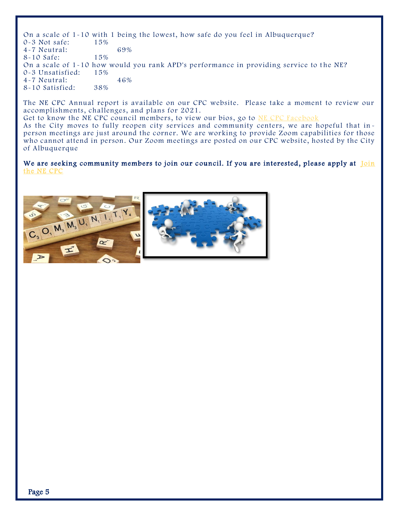On a scale of 1-10 with 1 being the lowest, how safe do you feel in Albuquerque?<br>0-3 Not safe:  $15\%$ 0-3 Not safe: 4-7 Neutral: 69%<br>8-10 Safe: 15%  $8-10$  Safe: On a scale of  $1-10$  how would you rank APD's performance in providing service to the NE?<br>0-3 Unsatisfied: 15% 0-3 Unsatisfied: 4-7 Neutral: 46% 8-10 Satisfied: 38%

The NE CPC Annual report is available on our CPC website. Please take a moment to review our accomplishments, challenges, and plans for 2021. Get to know the NE CPC council members, to view our bios, go to [NE CPC Facebook](https://www.facebook.com/NortheastAreaCPC) As the City moves to fully reopen city services and community centers, we are hopeful that inperson meetings are just around the corner. We are working to provide Zoom capabilities for those who cannot attend in person. Our Zoom meetings are posted on our CPC website, hosted by the City of Albuquerque

We are seeking community members to join our council. If you are interested, please apply at Join [the NE CPC](https://www.cabq.gov/police/community-policing-council)